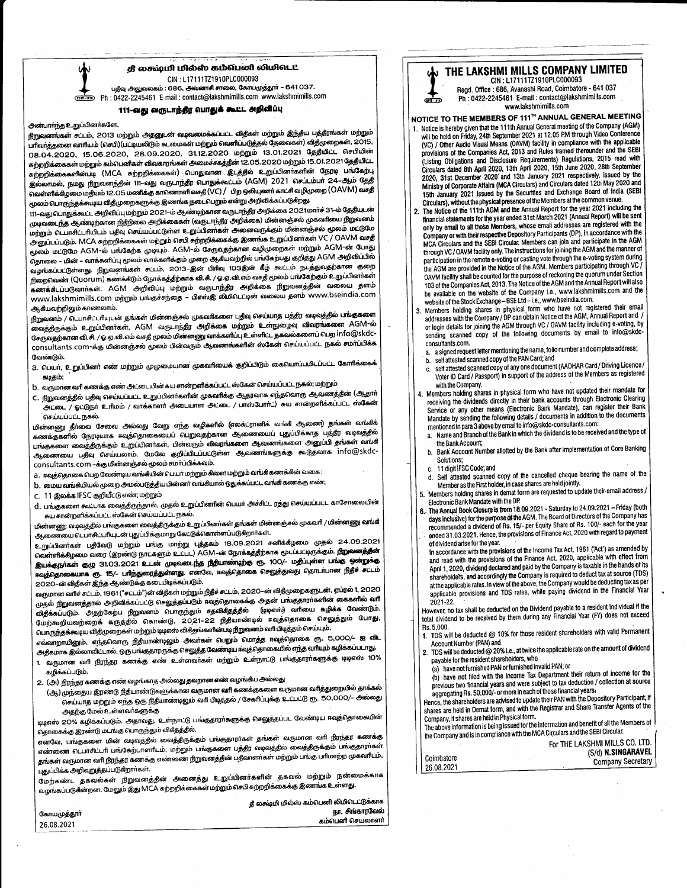

## 111-வது வருடாந்தீர வாதுக் கூட்ட அறிவீப்பு

### அன்பாாந்த உறுப்பினர்களே,

நிறுவனங்கள் சுட்டம், 2013 மற்றும் அதனுடன் வடிவமைக்கப்பட்ட விதீகள் மற்றும் இந்திய பத்திரங்கள் மற்றும் .<br>பாிவாத்தனை வாாியம் (செபி)(பட்டியலிடும் கடமைகள் மற்றும் வெளிப்படுத்தல் தேவைகள்) விதீமுறைகள், 2015, 08.04.2020, 15.06.2020, 28.09.2020, 31.12.2020 மற்றும் 13.01.2021 தேதீயிட்ட செபியின் சுற்றறிக்கைகள் மற்றும் கம்பெனிகள் விவகாரங்கள் அமைச்சகத்தின் 12.05.2020 மற்றும் 15.01.2021 தேதியிட்ட சுற்றறிக்கைகளின்படி (MCA சுற்றறிக்கைகள்) பொதுவான இடத்தில் உறுப்பினர்களின் நேரடி பங்கேற்பு இல்லாமல், நமது நீறுவனத்தின் 111-வது வருடாந்தீர வாதுக்கூட்டம் (AGM) 2021 செப்டம்பா 24-ஆம் தேதீ வெள்ளிக்கிழமை மதியம் 12.05 மணிக்கு காணொளி வசதி (VC) / பிற ஒலியுணர் காட்சி வழிமுறை (OAVM) வசதி மூலம் பொருந்தக்கூடிய விதீமுறைகளுக்கு இணங்க நடைபெறும் என்று அறிவிக்கப்படுகிறது.

111–வது பொதுக்கூட்ட அறிவிப்பு மற்றும் 2021–ம் ஆண்டிற்கான வருடாந்தீர அறிக்கை 2021 மார்ச் 31–ம் தேதியுடன் முடிவடைந்த ஆண்டிற்கான நிதீநிலை அறிக்கைகள் (வருடாந்தீர அறிக்கை) மின்னஞ்சல் முகவரியை நீறுவனம் மற்றும் பொசிட்டாியிடம் பதிவு செய்யப்பட்டுள்ள உறுப்பினர்கள் அனைவருக்கும் மின்னஞ்சல் மூலம் மட்டுமே அனுப்பப்படும். MCA சுற்றறிக்கைகள் மற்றும் செபி சுற்றறிக்கைக்கு இணங்க உறுப்பினர்கள் VC / OAVM வசதி மூலம் மட்டுமே AGM-ல் பங்கேற்க முடியும். AGM-ல் சேருவதற்கான வழிமுறைகள் மற்றும் AGM-ன் போது தொலை – மின் – வாக்களிப்பு மூலம் வாக்களிக்கும் முறை ஆகீயவற்றில் பங்கேற்பது குறித்து AGM அறிவிப்பில் வழங்கப்பட்டுள்ளது. நிறுவனங்கள் சட்டம், 2013–இன் பிரிவு 103இன் கீழ் கூட்டம் நடத்துவதற்கான குறை நிறைவெண் (Quorum) கணக்கிடும் நோக்கத்திற்காக வி.சி. / ஓ.ஏ.வி.எம் வசதி மூலம் பங்கேற்கும் உறுப்பினர்கள் கணக்கீடப்படுவாா்கள். AGM அறிவிப்பு மற்றும் வருடாந்தீர அறிக்கை நிறுவனத்தின் வலைய தளம் www.lakshmimills.com மற்றும் பங்குச்சந்தை – பிஎஸ்இ லிமிடெட்டின் வலைய தளம் www.bseindia.com ஆகீயவற்றிலும் காணலாம்.

நிறுவனம் / டெபாசிட்டரியுடன் தங்கள் மின்னஞ்சல் முகவரிகளை பதிவு செய்யாத பத்திர வடிவத்தில் பங்குகளை வைத்தீருக்கும் உறுப்பினர்கள், AGM வருடாந்தீர அறிக்கை மற்றும் உள்நுழைவு விவரங்களை AGM-ல் சேருவதற்கான வி.சி. / ஓ.ஏ.வி.எம் வசதி மூலம் மின்னணு வாக்களிப்பு உள்ளிட்ட தகவல்களைப் பெற info@skdcconsultants.com-க்கு மின்னஞ்சல் மூலம் பின்வரும் ஆவணங்களின் ஸ்கேன் செய்யப்பட்ட நகல் சமாப்பிக்க வேண்டும்.

- a. பெயர், உறுப்பினர் எண் மற்றும் முழுமையான முகவரியைக் குறிப்பிடும் கையொப்பபிடப்பட்ட கோரிக்கைக் கடிதம்;
- . 1). வருமான வரி கணக்கு எண் அட்டையின் சுய சான்றளிக்கப்பட்ட ஸ்கேன் செய்யப்பட்ட நகல்; மற்றும்
- C. நீறுவனத்தில் பதிவு செய்யப்பட்ட உறுப்பினர்களின் முகவரிக்கு ஆதரவாக எந்தவொரு ஆவணத்தின் (ஆதார் .<br>அட்டை / ஓட்டுநா உரிமம் / வாக்காளா அடையாள அட்டை / பாஸ்போா்ட்) சுய சான்றளிக்கப்பட்ட ஸ்கேன் செய்யப்பட்ட நகல்.

மின்னணு தீா்வை சேவை அல்லது வேறு எந்த வழிகளில் (எலக்ட்ரானிக் வங்கி ஆணை) தங்கள் வங்கிக் கணக்குகளில் நேரடியாக ஈவத்தொகையைப் பெறுவதற்கான ஆணையைப் புதுப்பிக்காத பத்திர வடிவத்தில் பங்குகளை வைத்திருக்கும் உறுப்பினா்கள், பின்வரும் விவரங்களை ஆவணங்களை அனுப்பி தங்கள் வங்கி ஆணையை பதிவு செய்யலாம். மேலே குறிப்பிடப்பட்டுள்ள ஆவணங்களுக்கு கூடுதலாக info@skdcconsultants.com –க்கு மின்னஞ்சல் மூலம் சமாப்பிக்கவும்.

- a . ஈவுத்தொகை பெற வேண்டிய வங்கியின் பெயர் மற்**றும் கிளை ம**ற்றும் வங்கி கணக்கின் வகை :
- b. மைய வங்கீயியல் முறை அமல்படுத்திய பின்னர் வங்கியால் ஒதுக்கப்பட்ட வங்கி கணக்கு எண்;

C. 11 இலக்க IFSC குறியீட்டு எண்; மற்றும்

d. பங்குகளை கூட்டாக வைத்திருந்தால், முதல் உறுப்பினரின் பெயர் அச்சிட்ட ரத்து செய்யப்பட்ட காசோலையின் சுய சான்றளிக்கப்பட்ட ஸ்கேன் செய்யப்பட்ட நகல்.

மின்னணு வடிவத்தில் பங்குகளை வைத்திருக்கும் உறுப்பினர்கள் தங்கள் மின்னஞ்சல் முகவரி / மின்னணு வங்கி ஆணையை டெபாசிட்டரியுடன் புதுப்பிக்குமாறு கேட்டுக்கொள்ளப்படுகிறார்கள்.

உறுப்பினா்கள் பதிவேடு மற்றும் பங்கு மாற்று புத்தகம் 18.09.2021 சனிக்கிழமை முதல் 24.09.2021 வெள்ளிக்கிழமை வரை (இரண்டு நாட்களும் உட்பட) AGM**-**ன் நோக்கத்திற்காக மூடப்பட்டிருக்கும். **நிறுவனத்தின்** இயக்குநாகள் குழு 31.03.2021 உடன் முடிவடைந்த நீதியாண்டிற்கு ரூ. 100/- மதிப்புள்ள பங்கு ஒன்றுக்கு கவுத்தொகையாக ரூ. 15/– பாிந்துரைத்துள்ளது. எனவே, கவுத்தொகை செலுத்துவது தொடா்பான நிதீச் சட்டம் 2020-ன் விதீகள் இந்த ஆண்டுக்கு கடைபிடிக்கப்படும்.

வருமான வரிச் சட்டம், 1961 ("சட்டம்")ன் விதீகள் மற்றும் நிதீச் சட்டம், 2020–ன் விதீமுறைகளுடன், ஏப்ரல் 1, 2020 முதல் நீறுவனத்தால் அறிவிக்கப்பட்டு செலுத்தப்படும் ஈவுத்தொகைக்கு அதன் பங்குதாராகளின் கைகளில் வரி விதீக்கப்படும். அதற்கேற்ப நிறுவனம் பொருந்தும் சதவிகீதத்தில் (டிடிஎஸ்) வரியை கழிக்க வேண்டும். மேற்கூறியவற்றைக் கருத்தில் கொண்டு, 2021–22 நிதியாண்டில் ஈவுத்தொகை செலுத்தும் போது, பொருந்தக்கூடிய விதீமுறைகள் மற்றும் டிடிஎஸ் விகீதங்களின்படி நிறுவனம் வரி பிடித்தம் செய்யும்.

எவ்வாறாயினும், எந்தவொரு நிதியாண்டிலும் அவா்கள் பெறும் மொத்த ஈவுத்தொகை ரூ. 5,000/– ஐ விட அதீகமாக இல்லாவிட்டால், ஒரு பங்குதாரருக்கு செலுத்த வேண்டிய ஈவுத்தொகையில் எந்த வாியும் கழிக்கப்படாது. 1. வருமான வரி நிரந்தர கணக்கு எண் உள்ளவாகள் மற்றும் உள்நாட்டு பங்குதாராகளுக்கு டிடிஎஸ் 10%

- கழிக்கப்படும்.
- 2. (அ) நிரந்தர கணக்கு எண் வழங்காத அல்லது தவறான எண் வழங்கீய அல்லது
- (ஆ) முந்தைய இரண்டு நிதீயாண்டுகளுக்கான வருமான வரி கணக்குகளை வருமான வரித்துறையில் தாக்கல் செய்யாத மற்றும் எந்த ஒரு நிதீயாண்டிலும் வரி பிடித்தல் / சேகரிப்புக்கு உட்பட்டு ரூ. 50,000/– அல்லது அதற்கு மேல் உள்ளவர்களுக்கு

டிடிஎஸ் 20% கழிக்கப்படும். அதாவது, உள்நாட்டு பங்குதாராகளுக்கு செலுத்தப்பட வேண்டிய ஈவுத்தொகையின் தொகைக்கு இரண்டு மடங்கு பொருந்தும் விகீதத்தில்.

எனவே, பங்குகளை மின் வடிவத்தில் வைத்திருக்கும் பங்குதாரா்கள் தங்கள் வருமான வாி நிரந்தர கணக்கு எண்ணை பெடாசிட்டாி பங்கேற்பாளாிடம். மற்றும் பங்குகளை பத்திர வடிவத்தில் வைத்தீருக்கும் பங்குதாராகள் .<br>தங்கள் வருமான வரி நீரந்தர கணக்கு எண்ணை நீறுவனத்தின் பதீவாளர்கள் மற்றும் பங்கு பரிமாற்ற முகவரிடம். புதுப்பிக்க அறிவறுத்தப்படுகிறாா்கள்.

மேற்கண்ட தகவல்கள் நிறுவனத்தின் அனைத்து உறுப்பினர்களின் தகவல் மற்றும் நன்மைக்காக வழங்கப்படுகீன்றன. மேலும் இது MCA சுற்றறிக்கைகள் மற்றும் செபி சுற்றறிக்கைக்கு இணங்க உள்ளது.

|             | தீ லக்ஷ்மி மில்ஸ் கம்பெனி லிமிடெட்டுக்காக |
|-------------|-------------------------------------------|
| கோயமுத்தூர் | நா. சிங்காரவேல்                           |
| 26.08.2021  | கம்பெனி செயலாளா்                          |
|             |                                           |



Regd. Office : 686, Avanashi Road, Coimbatore - 641 037 Ph: 0422-2245461 E-mail: contact@lakshmimills.com www.lakshmimills.com

NOTICE TO THE MEMBERS OF 111™ ANNUAL GENERAL MEETING

ക്ക

- 1. Notice is hereby given that the 111th Annual General meeting of the Company (AGM) will be held on Friday, 24th September 2021 at 12.05 PM through Video Conference (VC) / Other Audio Visual Means (OAVM) facility in compliance with the applicable provisions of the Companies Act, 2013 and Rules framed thereunder and the SEBI (Listing Obligations and Disclosure Requirements) Regulations, 2015 read with Circulars dated 8th April 2020, 13th April 2020, 15th June 2020, 28th September Given to water our April 2020, and 13th January 2021 respectively, issued by the Ministry of Corporate Affairs (MCA Circulars) and Circulars dated 12th May 2020 and Ministry of Corporate Affairs (MCA Circulars) and Circula 15th January 2021 issued by the Securities and Exchange Board of India (SEBI Circulars), without the physical presence of the Members at the common venue.
- The Notice of the 111th AGM and the Annual Report for the year 2021 including the , financial statements for the year ended 31st March 2021 (Annual Report) will be sent only by email to all those Members, whose email addresses are registered with the Company or with their respective Depository Participants (DP), in accordance with the MCA Circulars and the SEBI Circular. Members can join and participate in the AGM through VC / OAVM facility only. The instructions for joining the AGM and the manner of participation in the remote e-voting or casting vote through the e-voting system during the AGM are provided in the Notice of the AGM. Members participating through VC / DAVM facility shall be counted for the purpose of reckoning the quorum under Section 103 of the Companies Act, 2013. The Notice of the AGM and the Annual Report will also be available on the website of the Company i.e., www.lakshmimills.com and the website of the Stock Exchange – BSE Ltd – i.e., www.bseindia.com.
- Members holding shares in physical form who have not registered their email  $\overline{\mathbf{3}}$ addresses with the Company / DP can obtain Notice of the AGM, Annual Report and / or login details for joining the AGM through VC / OAVM facility including e-voting, by sending scanned copy of the following documents by email to info@skdc consultants.com.
	- a. a signed request letter mentioning the name, folio number and complete address;
	- b. self attested scanned copy of the PAN Card; and self attested scanned copy of any one document (AADHAR Card / Driving Licence / c. Voter ID Card / Passport) in support of the address of the Members as registered with the Company.
- Members holding shares in physical form who have not updated their mandate for receiving the dividends directly in their bank accounts through Electronic Clearing Service or any other means (Electronic Bank Mandate), can register their Bank Mandate by sending the following details / documents in addition to the documents mentioned in para 3 above by email to info@skdc-consultants.com:
	- Name and Branch of the Bank in which the dividend is to be received and the type of  $a$ . the Bank Account:
	- b. Bank Account Number allotted by the Bank after implementation of Core Banking Solutions;
	- 11 digit IFSC Code; and
	- Self attested scanned copy of the cancelled cheque bearing the name of the Member as the First holder, in case shares are held jointly.
- Members holding shares in demat form are requested to update their email address /<br>Electronic Bank Mandate with the DP.
- The Annual Book Closure is from 18.09.2021 Saturday to 24.09.2021 Friday (both 6. days inclusive) for the purpose of the AGM. The Board of Directors of the Company has recommended a dividend of Rs. 15/- per Equity Share of Rs. 100/- each for the year ended 31.03.2021. Hence, the provisions of Finance Act, 2020 with regard to payment of dividend arise for the year.
- In accordance with the provisions of the Income Tax Act, 1961 (Act') as amended by and read with the provisions of the Finance Act, 2020, applicable with effect from April 1, 2020, dividend declared and paid by the Company is taxable in the hands of its shareholders, and accordingly the Company is required to deduct tax at source (TDS) at the applicable rates. In view of the above, the Company would be deducting tax as per applicable provisions and TDS rates, while paying dividend in the Financial Year 2021-22

However, no tax shall be deducted on the Dividend payable to a resident individual if the total dividend to be received by them during any Financial Year (FY) does not exceed Rs. 5.000.

- 1. TDS will be deducted @ 10% for those resident shareholders with valid Permanent Account Number (PAN) and
- 2. TDS will be deducted @ 20% i.e., at twice the applicable rate on the amount of dividend payable for the resident shareholders, who
- (a) have not furnished PAN or furnished invalid PAN; or

(b) have not filed with the Income Tax Department their return of income for the previous two financial years and were subject to tax deduction / collection at source aggregating Rs. 50,000/- or more in each of those financial years.

Hence, the shareholders are advised to update their PAN with the Depository Participant, if shares are held in Demat form, and with the Registrar and Share Transfer Agents of the Company, if shares are held in Physical form.

The above information is being issued for the information and benefit of all the Members of the Company and is in compliance with the MCA Circulars and the SEBI Circular.

|            | For THE LAKSHMI MILLS CO. LTD. I |                   |
|------------|----------------------------------|-------------------|
|            | (S/d) <b>N.SINGARAVEL</b>        |                   |
| Coimbatore |                                  | Company Secretary |
| 26.08.2021 |                                  |                   |